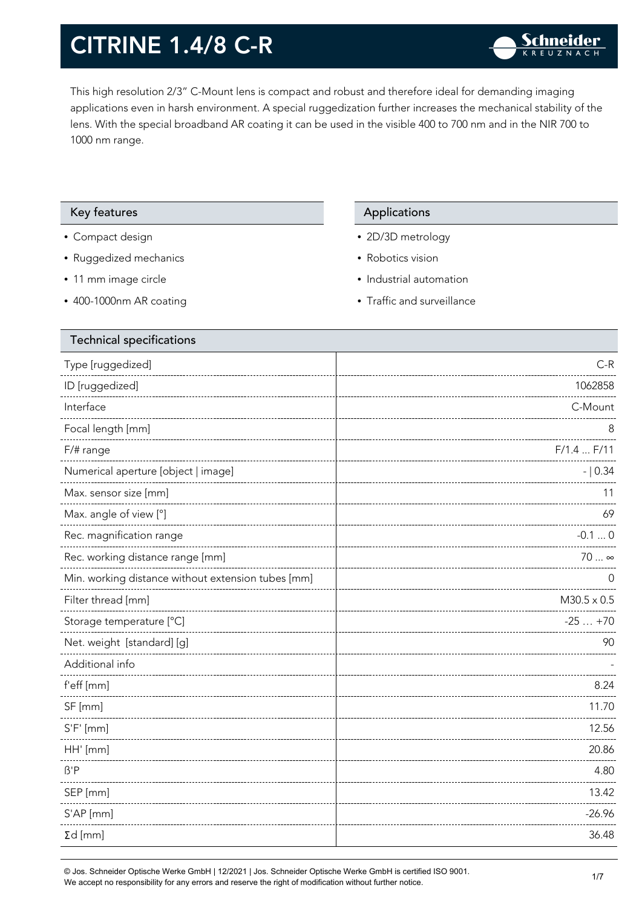This high resolution 2/3" C-Mount lens is compact and robust and therefore ideal for demanding imaging applications even in harsh environment. A special ruggedization further increases the mechanical stability of the lens. With the special broadband AR coating it can be used in the visible 400 to 700 nm and in the NIR 700 to 1000 nm range.

#### Key features **Applications** Applications

- Compact design
- Ruggedized mechanics
- 11 mm image circle
- 400-1000nm AR coating

- 2D/3D metrology
- Robotics vision
- Industrial automation
- Traffic and surveillance

| Type [ruggedized]<br>ID [ruggedized]<br>Interface<br>Focal length [mm]<br>8<br>F/1.4 F/11<br>$F/\#$ range<br>Numerical aperture [object   image]<br>$- 0.34$<br>Max. sensor size [mm]<br>11<br>Max. angle of view [°]<br>69<br>Rec. magnification range<br>$-0.10$<br>Rec. working distance range [mm]<br>70  ∞<br>Min. working distance without extension tubes [mm]<br>0<br>Filter thread [mm]<br>$M30.5 \times 0.5$<br>Storage temperature [°C]<br>Net. weight [standard] [g]<br>90<br>Additional info<br>f'eff [mm]<br>SF [mm]<br>11.70<br>$S'F'$ [mm]<br>HH' [mm]<br>$\beta$ 'P<br>SEP [mm]<br>S'AP [mm]<br>$\Sigma d$ [mm] | <b>Technical specifications</b> |          |
|----------------------------------------------------------------------------------------------------------------------------------------------------------------------------------------------------------------------------------------------------------------------------------------------------------------------------------------------------------------------------------------------------------------------------------------------------------------------------------------------------------------------------------------------------------------------------------------------------------------------------------|---------------------------------|----------|
|                                                                                                                                                                                                                                                                                                                                                                                                                                                                                                                                                                                                                                  |                                 | $C-R$    |
|                                                                                                                                                                                                                                                                                                                                                                                                                                                                                                                                                                                                                                  |                                 | 1062858  |
|                                                                                                                                                                                                                                                                                                                                                                                                                                                                                                                                                                                                                                  |                                 | C-Mount  |
|                                                                                                                                                                                                                                                                                                                                                                                                                                                                                                                                                                                                                                  |                                 |          |
|                                                                                                                                                                                                                                                                                                                                                                                                                                                                                                                                                                                                                                  |                                 |          |
|                                                                                                                                                                                                                                                                                                                                                                                                                                                                                                                                                                                                                                  |                                 |          |
|                                                                                                                                                                                                                                                                                                                                                                                                                                                                                                                                                                                                                                  |                                 |          |
|                                                                                                                                                                                                                                                                                                                                                                                                                                                                                                                                                                                                                                  |                                 |          |
|                                                                                                                                                                                                                                                                                                                                                                                                                                                                                                                                                                                                                                  |                                 |          |
|                                                                                                                                                                                                                                                                                                                                                                                                                                                                                                                                                                                                                                  |                                 |          |
|                                                                                                                                                                                                                                                                                                                                                                                                                                                                                                                                                                                                                                  |                                 |          |
|                                                                                                                                                                                                                                                                                                                                                                                                                                                                                                                                                                                                                                  |                                 |          |
|                                                                                                                                                                                                                                                                                                                                                                                                                                                                                                                                                                                                                                  |                                 | $-25+70$ |
|                                                                                                                                                                                                                                                                                                                                                                                                                                                                                                                                                                                                                                  |                                 |          |
|                                                                                                                                                                                                                                                                                                                                                                                                                                                                                                                                                                                                                                  |                                 |          |
|                                                                                                                                                                                                                                                                                                                                                                                                                                                                                                                                                                                                                                  |                                 | 8.24     |
|                                                                                                                                                                                                                                                                                                                                                                                                                                                                                                                                                                                                                                  |                                 |          |
|                                                                                                                                                                                                                                                                                                                                                                                                                                                                                                                                                                                                                                  |                                 | 12.56    |
|                                                                                                                                                                                                                                                                                                                                                                                                                                                                                                                                                                                                                                  |                                 | 20.86    |
|                                                                                                                                                                                                                                                                                                                                                                                                                                                                                                                                                                                                                                  |                                 | 4.80     |
|                                                                                                                                                                                                                                                                                                                                                                                                                                                                                                                                                                                                                                  |                                 | 13.42    |
|                                                                                                                                                                                                                                                                                                                                                                                                                                                                                                                                                                                                                                  |                                 | $-26.96$ |
|                                                                                                                                                                                                                                                                                                                                                                                                                                                                                                                                                                                                                                  |                                 | 36.48    |

© Jos. Schneider Optische Werke GmbH | 12/2021 | Jos. Schneider Optische Werke GmbH is certified ISO 9001. We accept no responsibility for any errors and reserve the right of modification without further notice.<br>We accept no responsibility for any errors and reserve the right of modification without further notice.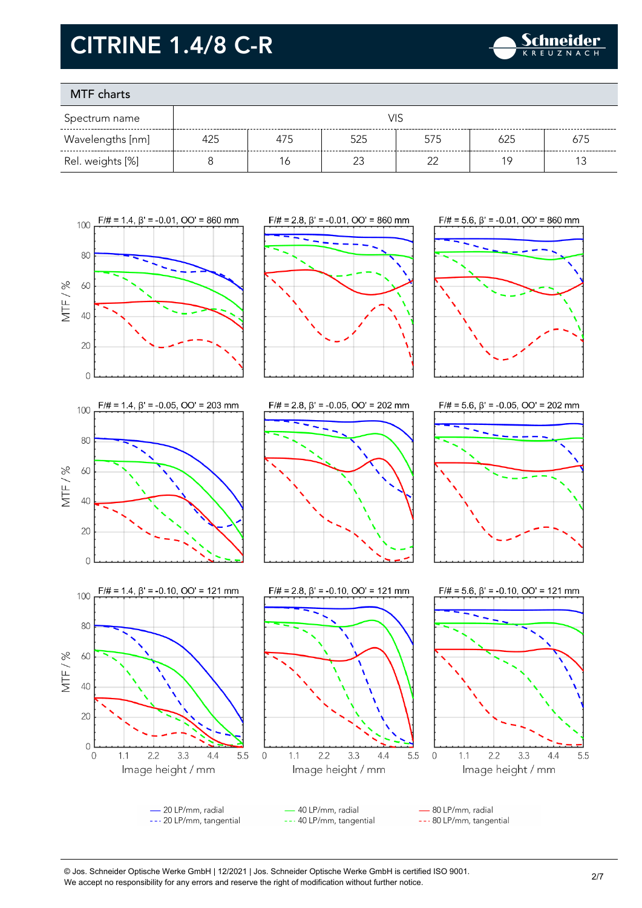

### MTF charts

| Spectrum name    | VIS |     |     |     |     |     |
|------------------|-----|-----|-----|-----|-----|-----|
| Wavelengths [nm] | 425 | 4/5 | 525 | 575 |     | 675 |
| Rel. weights [%] |     | Ó   |     |     | 1 C |     |



© Jos. Schneider Optische Werke GmbH | 12/2021 | Jos. Schneider Optische Werke GmbH is certified ISO 9001. We accept no responsibility for any errors and reserve the right of modification without further notice.<br>We accept no responsibility for any errors and reserve the right of modification without further notice.

 $4.4$ 

5.5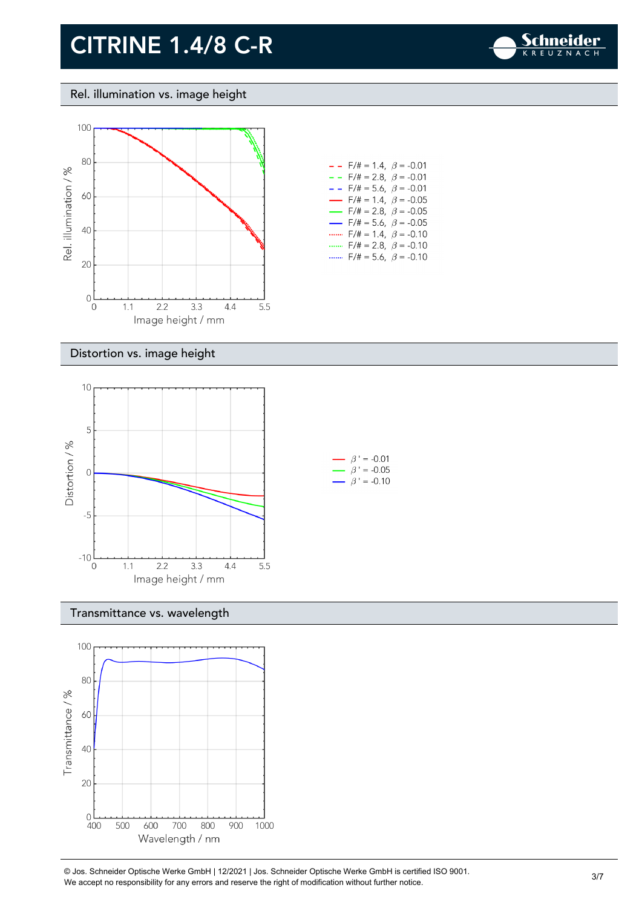

#### Rel. illumination vs. image height



| $-$ - F/# = 1.4, $\beta$ = -0.01         |
|------------------------------------------|
| $- -$ F/# = 2.8, $\beta$ = -0.01         |
| $- -$ F/# = 5.6, $\beta$ = -0.01         |
| $\rightarrow$ F/# = 1.4, $\beta$ = -0.05 |
| $\rightarrow$ F/# = 2.8, $\beta$ = -0.05 |
| $\rightarrow$ F/# = 5.6, $\beta$ = -0.05 |
| $F/\ddot{t} = 1.4$ , $\beta = -0.10$     |
| $F/\ddot{=} = 2.8, \ \beta = -0.10$      |
| F/# = 5.6, $\beta$ = -0.10               |

#### Distortion vs. image height



#### Transmittance vs. wavelength



© Jos. Schneider Optische Werke GmbH | 12/2021 | Jos. Schneider Optische Werke GmbH is certified ISO 9001. We accept no responsibility for any errors and reserve the right of modification without further notice.<br>We accept no responsibility for any errors and reserve the right of modification without further notice.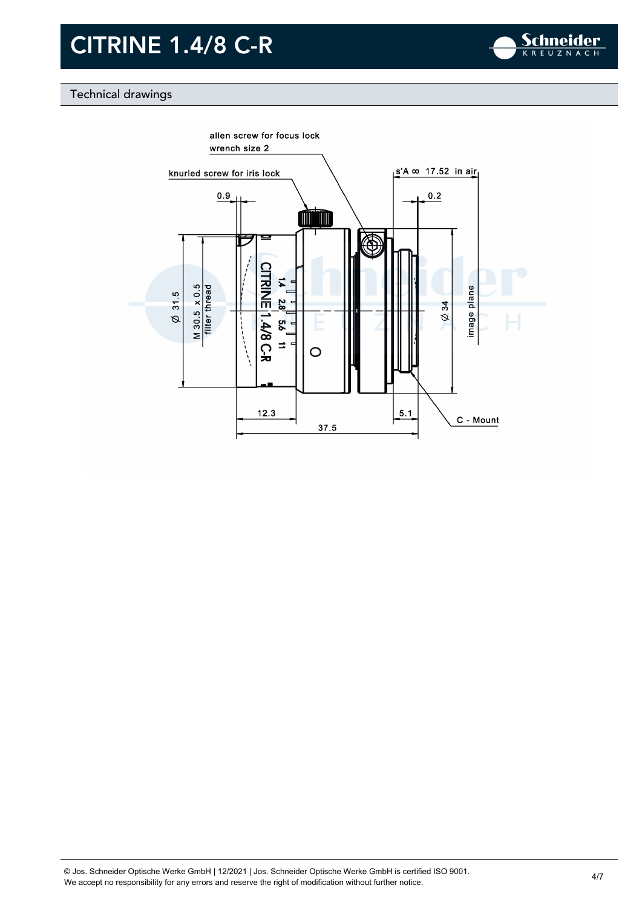![](_page_3_Picture_1.jpeg)

### Technical drawings

![](_page_3_Figure_3.jpeg)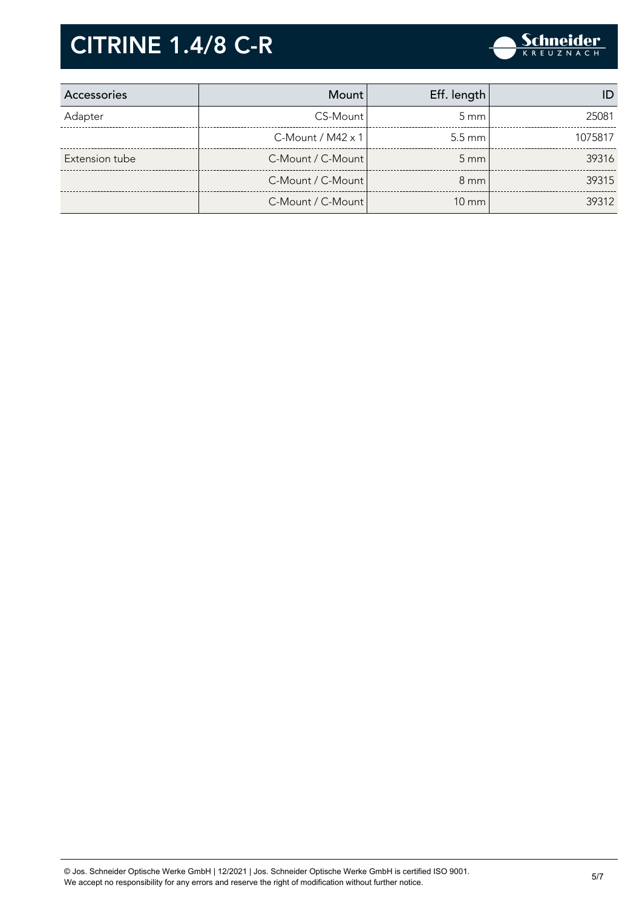![](_page_4_Picture_1.jpeg)

| Accessories    | <b>Mount</b>         | Eff. length        |         |
|----------------|----------------------|--------------------|---------|
| Adapter        | CS-Mount             | $5 \text{ mm}$     | 25081   |
|                | $C$ -Mount / M42 x 1 | $5.5 \text{ mm}$   | 1075817 |
| Extension tube | C-Mount / C-Mount    | $5 \, \mathrm{mm}$ | 39316   |
|                | C-Mount / C-Mount    | $8 \text{ mm}$     | 39315   |
|                | C-Mount / C-Mount    | $10 \text{ mm}$    | 39312   |